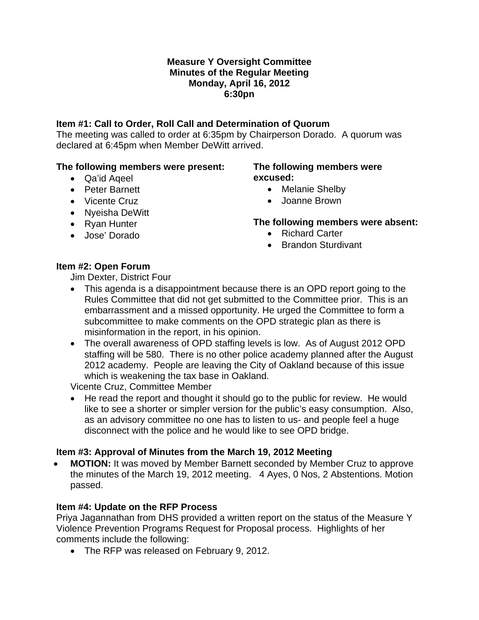#### **Measure Y Oversight Committee Minutes of the Regular Meeting Monday, April 16, 2012 6:30pn**

### **Item #1: Call to Order, Roll Call and Determination of Quorum**

The meeting was called to order at 6:35pm by Chairperson Dorado. A quorum was declared at 6:45pm when Member DeWitt arrived.

#### **The following members were present:**

• Qa'id Aqeel • Peter Barnett

• Vicente Cruz • Nyeisha DeWitt • Ryan Hunter • Jose' Dorado

#### **The following members were excused:**

- Melanie Shelby
- Joanne Brown

# **The following members were absent:**

- Richard Carter
- Brandon Sturdivant

# **Item #2: Open Forum**

Jim Dexter, District Four

- This agenda is a disappointment because there is an OPD report going to the Rules Committee that did not get submitted to the Committee prior. This is an embarrassment and a missed opportunity. He urged the Committee to form a subcommittee to make comments on the OPD strategic plan as there is misinformation in the report, in his opinion.
- The overall awareness of OPD staffing levels is low. As of August 2012 OPD staffing will be 580. There is no other police academy planned after the August 2012 academy. People are leaving the City of Oakland because of this issue which is weakening the tax base in Oakland.

Vicente Cruz, Committee Member

• He read the report and thought it should go to the public for review. He would like to see a shorter or simpler version for the public's easy consumption. Also, as an advisory committee no one has to listen to us- and people feel a huge disconnect with the police and he would like to see OPD bridge.

# **Item #3: Approval of Minutes from the March 19, 2012 Meeting**

• **MOTION:** It was moved by Member Barnett seconded by Member Cruz to approve the minutes of the March 19, 2012 meeting. 4 Ayes, 0 Nos, 2 Abstentions. Motion passed.

# **Item #4: Update on the RFP Process**

Priya Jagannathan from DHS provided a written report on the status of the Measure Y Violence Prevention Programs Request for Proposal process. Highlights of her comments include the following:

• The RFP was released on February 9, 2012.

- -

- 
-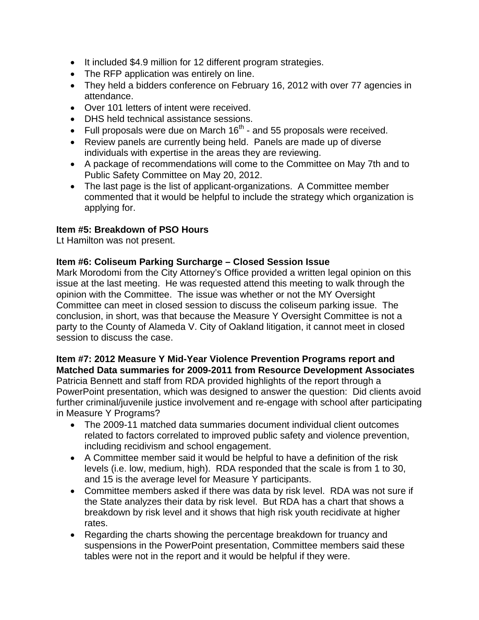- It included \$4.9 million for 12 different program strategies.
- The RFP application was entirely on line.
- They held a bidders conference on February 16, 2012 with over 77 agencies in attendance.
- Over 101 letters of intent were received.
- DHS held technical assistance sessions.
- Full proposals were due on March  $16<sup>th</sup>$  and 55 proposals were received.
- Review panels are currently being held. Panels are made up of diverse individuals with expertise in the areas they are reviewing.
- A package of recommendations will come to the Committee on May 7th and to Public Safety Committee on May 20, 2012.
- The last page is the list of applicant-organizations. A Committee member commented that it would be helpful to include the strategy which organization is applying for.

## **Item #5: Breakdown of PSO Hours**

Lt Hamilton was not present.

## **Item #6: Coliseum Parking Surcharge – Closed Session Issue**

Mark Morodomi from the City Attorney's Office provided a written legal opinion on this issue at the last meeting. He was requested attend this meeting to walk through the opinion with the Committee. The issue was whether or not the MY Oversight Committee can meet in closed session to discuss the coliseum parking issue. The conclusion, in short, was that because the Measure Y Oversight Committee is not a party to the County of Alameda V. City of Oakland litigation, it cannot meet in closed session to discuss the case.

#### **Item #7: 2012 Measure Y Mid-Year Violence Prevention Programs report and Matched Data summaries for 2009-2011 from Resource Development Associates**

Patricia Bennett and staff from RDA provided highlights of the report through a PowerPoint presentation, which was designed to answer the question: Did clients avoid further criminal/juvenile justice involvement and re-engage with school after participating in Measure Y Programs?

- The 2009-11 matched data summaries document individual client outcomes related to factors correlated to improved public safety and violence prevention, including recidivism and school engagement.
- A Committee member said it would be helpful to have a definition of the risk levels (i.e. low, medium, high). RDA responded that the scale is from 1 to 30, and 15 is the average level for Measure Y participants.
- Committee members asked if there was data by risk level. RDA was not sure if the State analyzes their data by risk level. But RDA has a chart that shows a breakdown by risk level and it shows that high risk youth recidivate at higher rates.
- Regarding the charts showing the percentage breakdown for truancy and suspensions in the PowerPoint presentation, Committee members said these tables were not in the report and it would be helpful if they were.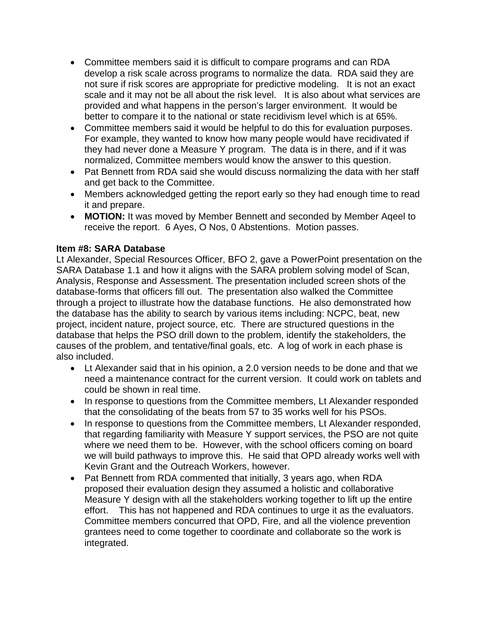- Committee members said it is difficult to compare programs and can RDA develop a risk scale across programs to normalize the data. RDA said they are not sure if risk scores are appropriate for predictive modeling. It is not an exact scale and it may not be all about the risk level. It is also about what services are provided and what happens in the person's larger environment. It would be better to compare it to the national or state recidivism level which is at 65%.
- Committee members said it would be helpful to do this for evaluation purposes. For example, they wanted to know how many people would have recidivated if they had never done a Measure Y program. The data is in there, and if it was normalized, Committee members would know the answer to this question.
- Pat Bennett from RDA said she would discuss normalizing the data with her staff and get back to the Committee.
- Members acknowledged getting the report early so they had enough time to read it and prepare.
- **MOTION:** It was moved by Member Bennett and seconded by Member Aqeel to receive the report. 6 Ayes, O Nos, 0 Abstentions. Motion passes.

## **Item #8: SARA Database**

Lt Alexander, Special Resources Officer, BFO 2, gave a PowerPoint presentation on the SARA Database 1.1 and how it aligns with the SARA problem solving model of Scan, Analysis, Response and Assessment. The presentation included screen shots of the database-forms that officers fill out. The presentation also walked the Committee through a project to illustrate how the database functions. He also demonstrated how the database has the ability to search by various items including: NCPC, beat, new project, incident nature, project source, etc. There are structured questions in the database that helps the PSO drill down to the problem, identify the stakeholders, the causes of the problem, and tentative/final goals, etc. A log of work in each phase is also included.

- Lt Alexander said that in his opinion, a 2.0 version needs to be done and that we need a maintenance contract for the current version. It could work on tablets and could be shown in real time.
- In response to questions from the Committee members, Lt Alexander responded that the consolidating of the beats from 57 to 35 works well for his PSOs.
- In response to questions from the Committee members, Lt Alexander responded, that regarding familiarity with Measure Y support services, the PSO are not quite where we need them to be. However, with the school officers coming on board we will build pathways to improve this. He said that OPD already works well with Kevin Grant and the Outreach Workers, however.
- Pat Bennett from RDA commented that initially, 3 years ago, when RDA proposed their evaluation design they assumed a holistic and collaborative Measure Y design with all the stakeholders working together to lift up the entire effort. This has not happened and RDA continues to urge it as the evaluators. Committee members concurred that OPD, Fire, and all the violence prevention grantees need to come together to coordinate and collaborate so the work is integrated.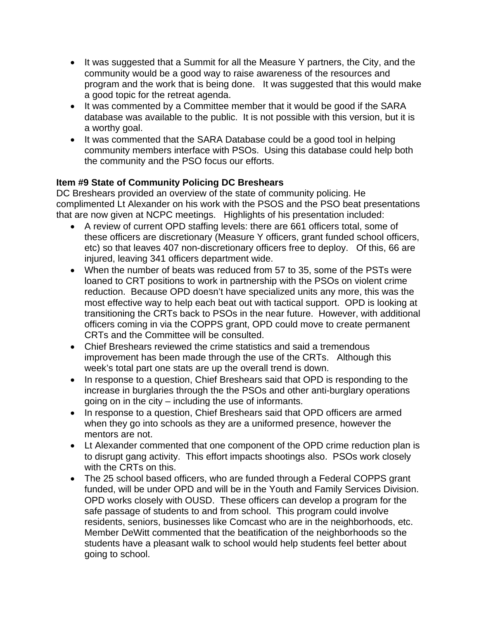- It was suggested that a Summit for all the Measure Y partners, the City, and the community would be a good way to raise awareness of the resources and program and the work that is being done. It was suggested that this would make a good topic for the retreat agenda.
- It was commented by a Committee member that it would be good if the SARA database was available to the public. It is not possible with this version, but it is a worthy goal.
- It was commented that the SARA Database could be a good tool in helping community members interface with PSOs. Using this database could help both the community and the PSO focus our efforts.

# **Item #9 State of Community Policing DC Breshears**

DC Breshears provided an overview of the state of community policing. He complimented Lt Alexander on his work with the PSOS and the PSO beat presentations that are now given at NCPC meetings. Highlights of his presentation included:

- A review of current OPD staffing levels: there are 661 officers total, some of these officers are discretionary (Measure Y officers, grant funded school officers, etc) so that leaves 407 non-discretionary officers free to deploy. Of this, 66 are injured, leaving 341 officers department wide.
- When the number of beats was reduced from 57 to 35, some of the PSTs were loaned to CRT positions to work in partnership with the PSOs on violent crime reduction. Because OPD doesn't have specialized units any more, this was the most effective way to help each beat out with tactical support. OPD is looking at transitioning the CRTs back to PSOs in the near future. However, with additional officers coming in via the COPPS grant, OPD could move to create permanent CRTs and the Committee will be consulted.
- Chief Breshears reviewed the crime statistics and said a tremendous improvement has been made through the use of the CRTs. Although this week's total part one stats are up the overall trend is down.
- In response to a question, Chief Breshears said that OPD is responding to the increase in burglaries through the the PSOs and other anti-burglary operations going on in the city – including the use of informants.
- In response to a question, Chief Breshears said that OPD officers are armed when they go into schools as they are a uniformed presence, however the mentors are not.
- Lt Alexander commented that one component of the OPD crime reduction plan is to disrupt gang activity. This effort impacts shootings also. PSOs work closely with the CRTs on this.
- The 25 school based officers, who are funded through a Federal COPPS grant funded, will be under OPD and will be in the Youth and Family Services Division. OPD works closely with OUSD. These officers can develop a program for the safe passage of students to and from school. This program could involve residents, seniors, businesses like Comcast who are in the neighborhoods, etc. Member DeWitt commented that the beatification of the neighborhoods so the students have a pleasant walk to school would help students feel better about going to school.